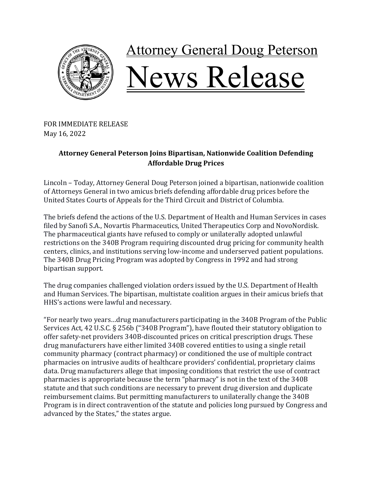

## **Attorney General Doug Peterson** Vews Release

FOR IMMEDIATE RELEASE May 16, 2022

## **Attorney General Peterson Joins Bipartisan, Nationwide Coalition Defending Affordable Drug Prices**

Lincoln - Today, Attorney General Doug Peterson joined a bipartisan, nationwide coalition of Attorneys General in two amicus briefs defending affordable drug prices before the United States Courts of Appeals for the Third Circuit and District of Columbia.

The briefs defend the actions of the U.S. Department of Health and Human Services in cases filed by Sanofi S.A., Novartis Pharmaceutics, United Therapeutics Corp and NovoNordisk. The pharmaceutical giants have refused to comply or unilaterally adopted unlawful restrictions on the 340B Program requiring discounted drug pricing for community health centers, clinics, and institutions serving low-income and underserved patient populations. The 340B Drug Pricing Program was adopted by Congress in 1992 and had strong bipartisan support.

The drug companies challenged violation orders issued by the U.S. Department of Health and Human Services. The bipartisan, multistate coalition argues in their amicus briefs that HHS's actions were lawful and necessary.

"For nearly two years...drug manufacturers participating in the 340B Program of the Public Services Act, 42 U.S.C. § 256b ("340B Program"), have flouted their statutory obligation to offer safety-net providers 340B-discounted prices on critical prescription drugs. These drug manufacturers have either limited 340B covered entities to using a single retail community pharmacy (contract pharmacy) or conditioned the use of multiple contract pharmacies on intrusive audits of healthcare providers' confidential, proprietary claims data. Drug manufacturers allege that imposing conditions that restrict the use of contract pharmacies is appropriate because the term "pharmacy" is not in the text of the 340B statute and that such conditions are necessary to prevent drug diversion and duplicate reimbursement claims. But permitting manufacturers to unilaterally change the 340B Program is in direct contravention of the statute and policies long pursued by Congress and advanced by the States," the states argue.